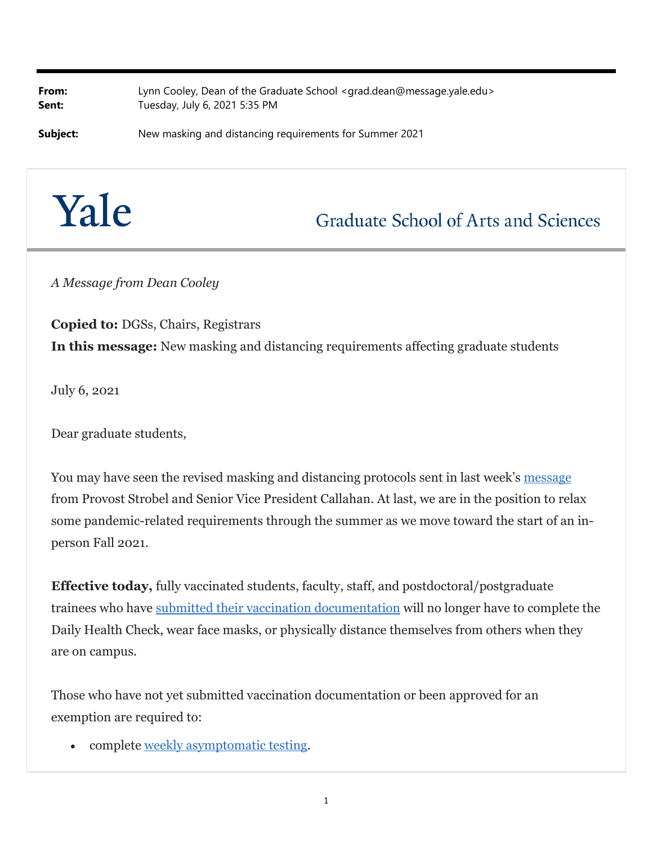**From:** Lynn Cooley, Dean of the Graduate School <grad.dean@message.yale.edu> **Sent:** Tuesday, July 6, 2021 5:35 PM

**Subject:** New masking and distancing requirements for Summer 2021



## **Graduate School of Arts and Sciences**

*A Message from Dean Cooley*

**Copied to:** DGSs, Chairs, Registrars **In this message:** New masking and distancing requirements affecting graduate students

July 6, 2021

Dear graduate students,

You may have seen the revised masking and distancing protocols sent in last week's message from Provost Strobel and Senior Vice President Callahan. At last, we are in the position to relax some pandemic-related requirements through the summer as we move toward the start of an inperson Fall 2021.

**Effective today,** fully vaccinated students, faculty, staff, and postdoctoral/postgraduate trainees who have submitted their vaccination documentation will no longer have to complete the Daily Health Check, wear face masks, or physically distance themselves from others when they are on campus.

Those who have not yet submitted vaccination documentation or been approved for an exemption are required to:

complete weekly asymptomatic testing.